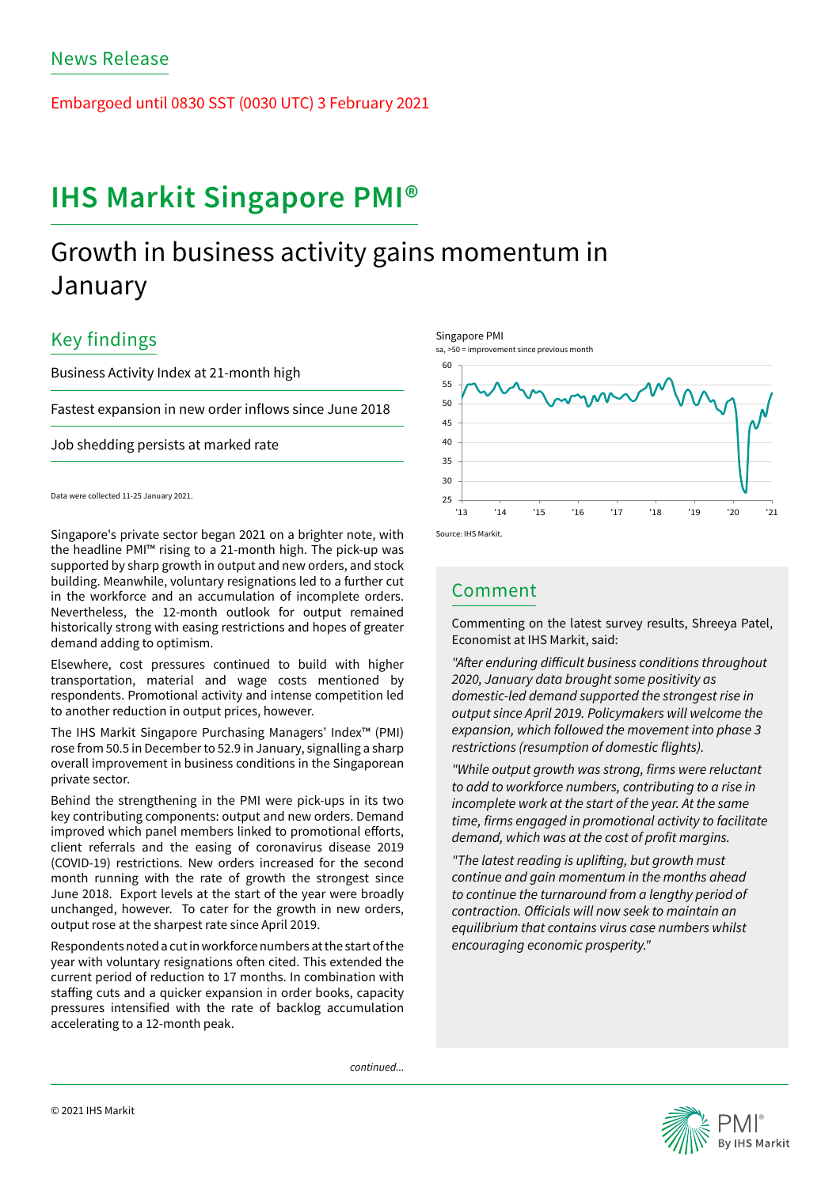Embargoed until 0830 SST (0030 UTC) 3 February 2021

# IHS Markit Singapore PMI®

## Growth in business activity gains momentum in January

## Key findings

Business Activity Index at 21-month high

Fastest expansion in new order inflows since June 2018

Job shedding persists at marked rate

Data were collected 11-25 January 2021.

Singapore's private sector began 2021 on a brighter note, with the headline PMI™ rising to a 21-month high. The pick-up was supported by sharp growth in output and new orders, and stock building. Meanwhile, voluntary resignations led to a further cut in the workforce and an accumulation of incomplete orders. Nevertheless, the 12-month outlook for output remained historically strong with easing restrictions and hopes of greater demand adding to optimism.

Elsewhere, cost pressures continued to build with higher transportation, material and wage costs mentioned by respondents. Promotional activity and intense competition led to another reduction in output prices, however.

The IHS Markit Singapore Purchasing Managers' Index™ (PMI) rose from 50.5 in December to 52.9 in January, signalling a sharp overall improvement in business conditions in the Singaporean private sector.

Behind the strengthening in the PMI were pick-ups in its two key contributing components: output and new orders. Demand improved which panel members linked to promotional efforts, client referrals and the easing of coronavirus disease 2019 (COVID-19) restrictions. New orders increased for the second month running with the rate of growth the strongest since June 2018. Export levels at the start of the year were broadly unchanged, however. To cater for the growth in new orders, output rose at the sharpest rate since April 2019.

Respondents noted a cut in workforce numbers at the start of the year with voluntary resignations often cited. This extended the current period of reduction to 17 months. In combination with staffing cuts and a quicker expansion in order books, capacity pressures intensified with the rate of backlog accumulation accelerating to a 12-month peak.

Singapore PMI



### Comment

Commenting on the latest survey results, Shreeya Patel, Economist at IHS Markit, said:

"After enduring difficult business conditions throughout 2020, January data brought some positivity as domestic-led demand supported the strongest rise in output since April 2019. Policymakers will welcome the expansion, which followed the movement into phase 3 restrictions (resumption of domestic flights).

"While output growth was strong, firms were reluctant to add to workforce numbers, contributing to a rise in incomplete work at the start of the year. At the same time, firms engaged in promotional activity to facilitate demand, which was at the cost of profit margins.

"The latest reading is uplifting, but growth must continue and gain momentum in the months ahead to continue the turnaround from a lengthy period of contraction. Officials will now seek to maintain an equilibrium that contains virus case numbers whilst encouraging economic prosperity."

*continued...*